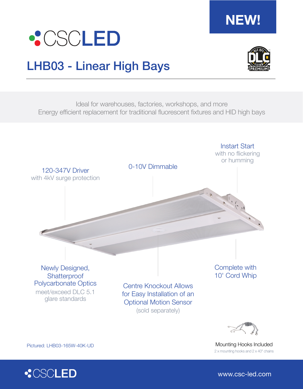

## LHB03 - Linear High Bays



**NEW!**

Ideal for warehouses, factories, workshops, and more Energy efficient replacement for traditional fluorescent fixtures and HID high bays